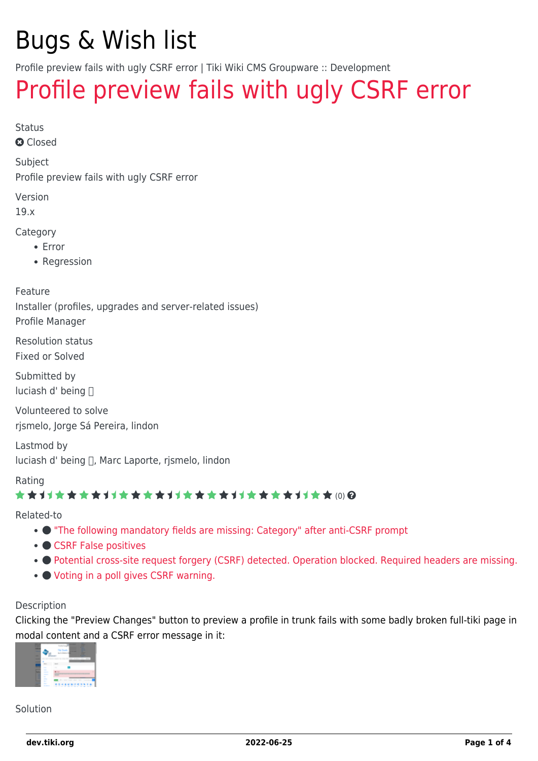# Bugs & Wish list

Profile preview fails with ugly CSRF error | Tiki Wiki CMS Groupware :: Development

# [Profile preview fails with ugly CSRF error](https://dev.tiki.org/item6760-Profile-preview-fails-with-ugly-CSRF-error)

Status

**a** Closed

Subject

Profile preview fails with ugly CSRF error

Version

19.x

Category

- Error
- Regression

Feature

Installer (profiles, upgrades and server-related issues) Profile Manager

Resolution status Fixed or Solved

Submitted by luciash d' being

Volunteered to solve rjsmelo, Jorge Sá Pereira, lindon

Lastmod by luciash d' being [], Marc Laporte, rjsmelo, lindon

Rating

### ★★オオ★★★★オオ★★★★オオ★★★★オオ★★★★1オ★★(0)@

Related-to

- ["The following mandatory fields are missing: Category" after anti-CSRF prompt](https://dev.tiki.org/item6926--The-following-mandatory-fields-are-missing-Category-after-anti-CSRF-prompt)
- [CSRF False positives](https://dev.tiki.org/item7133-CSRF-False-positives)
- [Potential cross-site request forgery \(CSRF\) detected. Operation blocked. Required headers are missing.](https://dev.tiki.org/item7633-Potential-cross-site-request-forgery-CSRF-detected-Operation-blocked-Required-headers-are-missing)
- [Voting in a poll gives CSRF warning.](https://dev.tiki.org/item7350-Voting-in-a-poll-gives-CSRF-warning)

### Description

Clicking the "Preview Changes" button to preview a profile in trunk fails with some badly broken full-tiki page in modal content and a CSRF error message in it:



Solution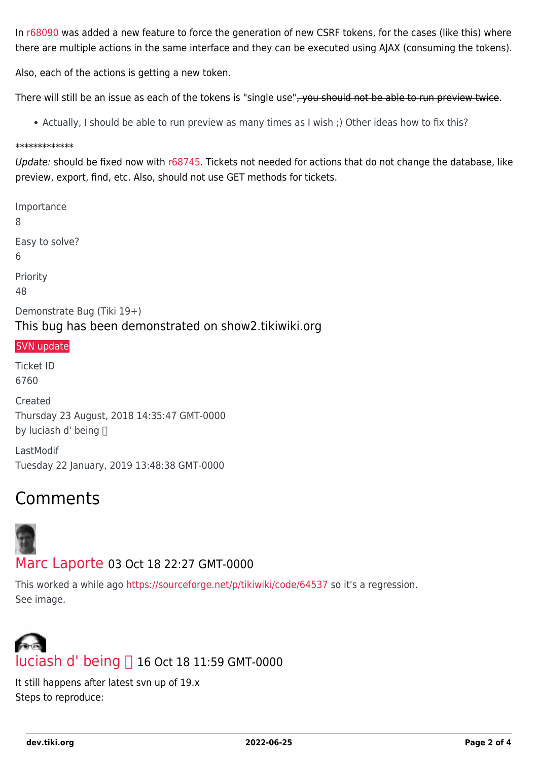In [r68090](http://sourceforge.net/p/tikiwiki/code/68090/) was added a new feature to force the generation of new CSRF tokens, for the cases (like this) where there are multiple actions in the same interface and they can be executed using AJAX (consuming the tokens).

Also, each of the actions is getting a new token.

There will still be an issue as each of the tokens is "single use", you should not be able to run preview twice.

• Actually, I should be able to run preview as many times as I wish; Other ideas how to fix this?

#### \*\*\*\*\*\*\*\*\*\*\*\*\*

Update: should be fixed now with [r68745.](http://sourceforge.net/p/tikiwiki/code/68745/) Tickets not needed for actions that do not change the database, like preview, export, find, etc. Also, should not use GET methods for tickets.

Importance 8 Easy to solve? 6 Priority 48 Demonstrate Bug (Tiki 19+) This bug has been demonstrated on show2.tikiwiki.org [SVN update](#page--1-0) Ticket ID 6760 Created Thursday 23 August, 2018 14:35:47 GMT-0000 by luciash d' being

LastModif Tuesday 22 January, 2019 13:48:38 GMT-0000

# Comments



### [Marc Laporte](https://dev.tiki.org/user11197) 03 Oct 18 22:27 GMT-0000

This worked a while ago <https://sourceforge.net/p/tikiwiki/code/64537> so it's a regression. See image.

# [luciash d' being](https://dev.tiki.org/user199)  16 Oct 18 11:59 GMT-0000

It still happens after latest svn up of 19.x Steps to reproduce: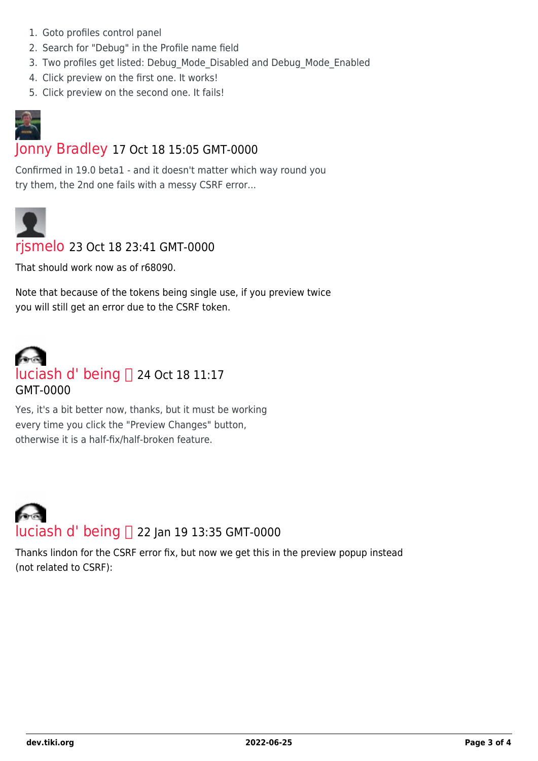- 1. Goto profiles control panel
- 2. Search for "Debug" in the Profile name field
- 3. Two profiles get listed: Debug\_Mode\_Disabled and Debug\_Mode\_Enabled
- 4. Click preview on the first one. It works!
- 5. Click preview on the second one. It fails!



## [Jonny Bradley](https://dev.tiki.org/user8515) 17 Oct 18 15:05 GMT-0000

Confirmed in 19.0 beta1 - and it doesn't matter which way round you try them, the 2nd one fails with a messy CSRF error...



## [rjsmelo](https://dev.tiki.org/user11781) 23 Oct 18 23:41 GMT-0000

That should work now as of r68090.

Note that because of the tokens being single use, if you preview twice you will still get an error due to the CSRF token.



Yes, it's a bit better now, thanks, but it must be working every time you click the "Preview Changes" button, otherwise it is a half-fix/half-broken feature.



Thanks lindon for the CSRF error fix, but now we get this in the preview popup instead (not related to CSRF):